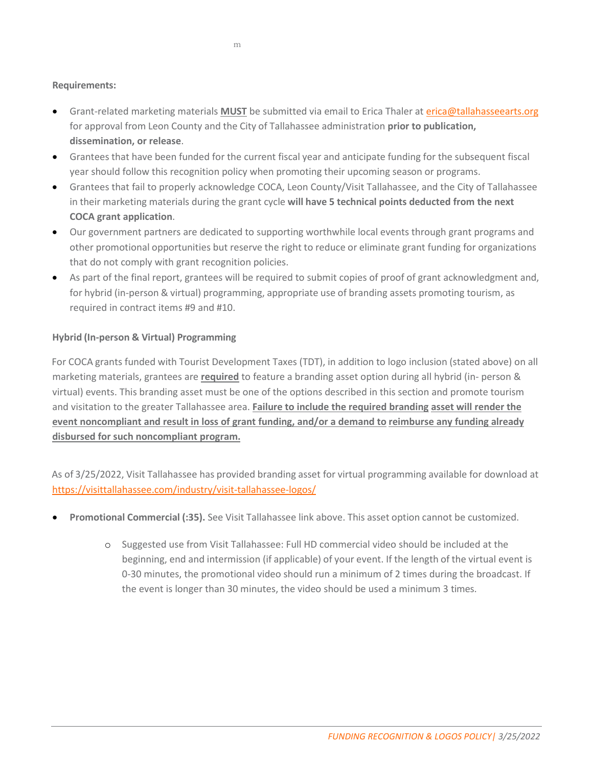## **Requirements:**

- Grant-related marketing materials **MUST** be submitted via email to Erica Thaler at *erica@tallahasseearts.org* for approval from Leon County and the City of Tallahassee administration **prior to publication, dissemination, or release**.
- Grantees that have been funded for the current fiscal year and anticipate funding for the subsequent fiscal year should follow this recognition policy when promoting their upcoming season or programs.
- Grantees that fail to properly acknowledge COCA, Leon County/Visit Tallahassee, and the City of Tallahassee in their marketing materials during the grant cycle **will have 5 technical points deducted from the next COCA grant application**.
- Our government partners are dedicated to supporting worthwhile local events through grant programs and other promotional opportunities but reserve the right to reduce or eliminate grant funding for organizations that do not comply with grant recognition policies.
- As part of the final report, grantees will be required to submit copies of proof of grant acknowledgment and, for hybrid (in-person & virtual) programming, appropriate use of branding assets promoting tourism, as required in contract items #9 and #10.

## **Hybrid (In-person & Virtual) Programming**

For COCA grants funded with Tourist Development Taxes (TDT), in addition to logo inclusion (stated above) on all marketing materials, grantees are **required** to feature a branding asset option during all hybrid (in- person & virtual) events. This branding asset must be one of the options described in this section and promote tourism and visitation to the greater Tallahassee area. **Failure to include the required branding asset will render the event noncompliant and result in loss of grant funding, and/or a demand to reimburse any funding already disbursed for such noncompliant program.**

As of 3/25/2022, Visit Tallahassee has provided branding asset for virtual programming available for download at <https://visittallahassee.com/industry/visit-tallahassee-logos/>

- **Promotional Commercial (:35).** See Visit Tallahassee link above. This asset option cannot be customized.
	- o Suggested use from Visit Tallahassee: Full HD commercial video should be included at the beginning, end and intermission (if applicable) of your event. If the length of the virtual event is 0-30 minutes, the promotional video should run a minimum of 2 times during the broadcast. If the event is longer than 30 minutes, the video should be used a minimum 3 times.